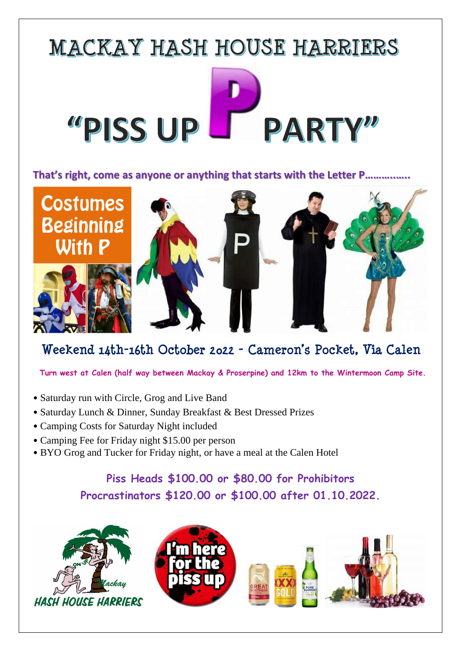

## **That's right, come as anyone or anything that starts with the Letter P………..…..**



## **Weekend 14th-16th October 2022 - Cameron's Pocket, Via Calen**

 **Turn west at Calen (half way between Mackay & Proserpine) and 12km to the Wintermoon Camp Site.**

- Saturday run with Circle, Grog and Live Band
- Saturday Lunch & Dinner, Sunday Breakfast & Best Dressed Prizes
- Camping Costs for Saturday Night included
- Camping Fee for Friday night \$15.00 per person
- BYO Grog and Tucker for Friday night, or have a meal at the Calen Hotel

## **Piss Heads \$100.00 or \$80.00 for Prohibitors Procrastinators \$120.00 or \$100.00 after 01.10.2022.**